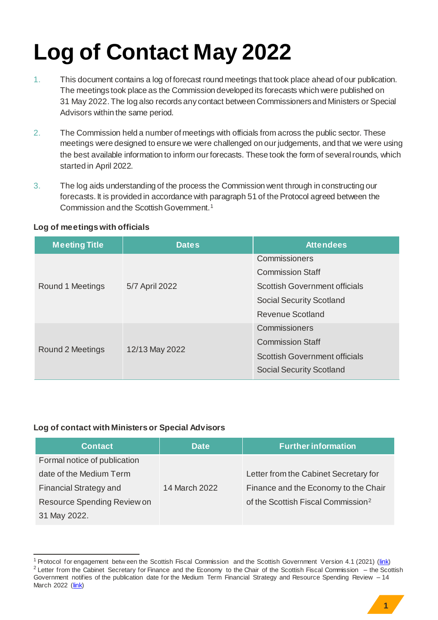## **Log of Contact May 2022**

- 1. This document contains a log of forecast round meetings that took place ahead of our publication. The meetings took place as the Commission developed its forecasts which were published on 31 May 2022. The log also records any contact between Commissioners and Ministers or Special Advisors within the same period.
- 2. The Commission held a number of meetings with officials from across the public sector. These meetings were designed to ensure we were challenged on our judgements, and that we were using the best available information to inform our forecasts. These took the form of several rounds, which started in April 2022.
- 3. The log aids understanding of the process the Commission went through in constructing our forecasts. It is provided in accordance with paragraph 51 of the Protocol agreed between the Commission and the Scottish Government.<sup>1</sup>

## **Log of meetings with officials**

| <b>Meeting Title</b> | <b>Dates</b>   | <b>Attendees</b>                     |
|----------------------|----------------|--------------------------------------|
| Round 1 Meetings     | 5/7 April 2022 | Commissioners                        |
|                      |                | <b>Commission Staff</b>              |
|                      |                | <b>Scottish Government officials</b> |
|                      |                | <b>Social Security Scotland</b>      |
|                      |                | Revenue Scotland                     |
| Round 2 Meetings     | 12/13 May 2022 | Commissioners                        |
|                      |                | <b>Commission Staff</b>              |
|                      |                | <b>Scottish Government officials</b> |
|                      |                | <b>Social Security Scotland</b>      |

## **Log of contact with Ministers or Special Advisors**

-

| <b>Contact</b>                | <b>Date</b>   | <b>Further information</b>                     |
|-------------------------------|---------------|------------------------------------------------|
| Formal notice of publication  |               |                                                |
| date of the Medium Term       |               | Letter from the Cabinet Secretary for          |
| <b>Financial Strategy and</b> | 14 March 2022 | Finance and the Economy to the Chair           |
| Resource Spending Review on   |               | of the Scottish Fiscal Commission <sup>2</sup> |
| 31 May 2022.                  |               |                                                |

<sup>&</sup>lt;sup>1</sup> Protocol for engagement betw een the Scottish Fiscal Commission and the Scottish Government Version 4.1 (2021) [\(link\)](https://www.fiscalcommission.scot/publications/protocol/) <sup>2</sup> Letter from the Cabinet Secretary for Finance and the Economy to the Chair of the Scottish Fiscal Commission  $-$  the Scottish Government notifies of the publication date for the Medium Term Financial Strategy and Resource Spending Review – 14 March 2022 [\(link\)](https://www.fiscalcommission.scot/wp-content/uploads/2022/03/Letter-from-Cabinet-Secretary-for-Finance-and-Economy-MTFS-2022-and-RSR-Notification-14-March-2022.pdf)